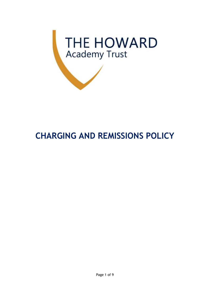

# **CHARGING AND REMISSIONS POLICY**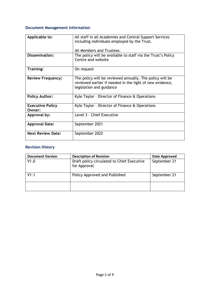# **Document Management Information**

| Applicable to:                    | All staff in all Academies and Central Support Services<br>including individuals employed by the Trust.<br>All Members and Trustees.             |
|-----------------------------------|--------------------------------------------------------------------------------------------------------------------------------------------------|
| <b>Dissemination:</b>             | The policy will be available to staff via the Trust's Policy<br>Centre and website                                                               |
| Training:                         | On request                                                                                                                                       |
| <b>Review Frequency:</b>          | The policy will be reviewed annually. The policy will be<br>reviewed earlier if needed in the light of new evidence,<br>legislation and guidance |
| <b>Policy Author:</b>             | Kyle Taylor - Director of Finance & Operations                                                                                                   |
| <b>Executive Policy</b><br>Owner: | Kyle Taylor - Director of Finance & Operations                                                                                                   |
| Approval by:                      | Level 3 - Chief Executive                                                                                                                        |
| <b>Approval Date:</b>             | September 2021                                                                                                                                   |
| <b>Next Review Date:</b>          | September 2022                                                                                                                                   |

# **Revision History**

| <b>Document Version</b> | <b>Description of Revision</b>                             | <b>Date Approved</b> |
|-------------------------|------------------------------------------------------------|----------------------|
| V1.0                    | Draft policy circulated to Chief Executive<br>for Approval | September 21         |
| V1.1                    | Policy Approved and Published                              | September 21         |
|                         |                                                            |                      |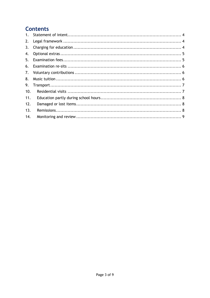# **Contents**

| 2.  |  |
|-----|--|
| 3.  |  |
| 4.  |  |
| 5.  |  |
| 6.  |  |
| 7.  |  |
| 8.  |  |
| 9.  |  |
| 10. |  |
| 11. |  |
| 12. |  |
| 13. |  |
| 14. |  |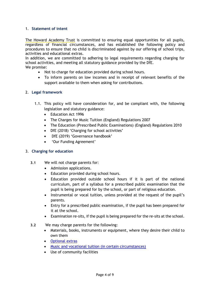# <span id="page-3-0"></span>1. **Statement of intent**

The Howard Academy Trust is committed to ensuring equal opportunities for all pupils, regardless of financial circumstances, and has established the following policy and procedures to ensure that no child is discriminated against by our offering of school trips, activities and educational extras.

In addition, we are committed to adhering to legal requirements regarding charging for school activities, and meeting all statutory guidance provided by the DfE. We promise:

- Not to charge for education provided during school hours.
- To inform parents on low incomes and in receipt of relevant benefits of the support available to them when asking for contributions.

# <span id="page-3-1"></span>2. **Legal framework**

- 1.1. This policy will have consideration for, and be compliant with, the following legislation and statutory guidance:
	- Education Act 1996
	- The Charges for Music Tuition (England) Regulations 2007
	- The Education (Prescribed Public Examinations) (England) Regulations 2010
	- DfE (2018) 'Charging for school activities'
	- DfE (2019) 'Governance handbook'
	- 'Our Funding Agreement'

#### <span id="page-3-2"></span>3. **Charging for education**

- **3.1** We will not charge parents for:
	- Admission applications.
	- Education provided during school hours.
	- Education provided outside school hours if it is part of the national curriculum, part of a syllabus for a prescribed public examination that the pupil is being prepared for by the school, or part of religious education.
	- Instrumental or vocal tuition, unless provided at the request of the pupil's parents.
	- Entry for a prescribed public examination, if the pupil has been prepared for it at the school.
	- Examination re-sits, if the pupil is being prepared for the re-sits at the school.
- **3.2** We may charge parents for the following:
	- Materials, books, instruments or equipment, where they desire their child to own them
	- [Optional extras](#page-4-0)
	- [Music and vocational tuition \(in certain circumstances\)](#page-5-2)
	- Use of community facilities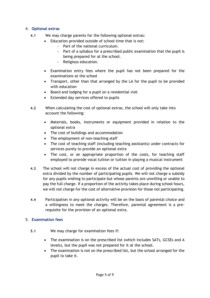# <span id="page-4-0"></span>4. **Optional extras**

- **4.1** We may charge parents for the following optional extras:
	- Education provided outside of school time that is not:
		- Part of the national curriculum.
		- Part of a syllabus for a prescribed public examination that the pupil is being prepared for at the school.
		- Religious education.
		- Examination entry fees where the pupil has not been prepared for the examinations at the school
		- Transport, other than that arranged by the LA for the pupil to be provided with education
		- Board and lodging for a pupil on a residential visit
		- Extended day services offered to pupils
- **4.2** When calculating the cost of optional extras, the school will only take into account the following:
	- Materials, books, instruments or equipment provided in relation to the optional extra
	- The cost of buildings and accommodation
	- The employment of non-teaching staff
	- The cost of teaching staff (including teaching assistants) under contracts for services purely to provide an optional extra
	- The cost, or an appropriate proportion of the costs, for teaching staff employed to provide vocal tuition or tuition in playing a musical instrument
- **4.3** The school will not charge in excess of the actual cost of providing the optional extra divided by the number of participating pupils. We will not charge a subsidy for any pupils wishing to participate but whose parents are unwilling or unable to pay the full charge. If a proportion of the activity takes place during school hours, we will not charge for the cost of alternative provision for those not participating.
- **4.4** Participation in any optional activity will be on the basis of parental choice and a willingness to meet the charges. Therefore, parental agreement is a prerequisite for the provision of an optional extra.

# <span id="page-4-1"></span>5. **Examination fees**

- **5.1** We may charge for examination fees if:
	- The examination is on the prescribed list (which includes SATs, GCSEs and A levels), but the pupil was not prepared for it at the school.
	- The examination is not on the prescribed list, but the school arranged for the pupil to take it.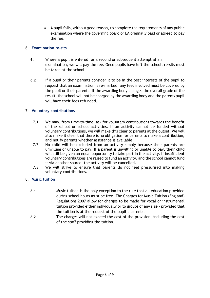• A pupil fails, without good reason, to complete the requirements of any public examination where the governing board or LA originally paid or agreed to pay the fee.

# <span id="page-5-0"></span>6. **Examination re-sits**

- **6.1** Where a pupil is entered for a second or subsequent attempt at an examination, we will pay the fee. Once pupils have left the school, re-sits must be taken at the school.
- **6.2** If a pupil or their parents consider it to be in the best interests of the pupil to request that an examination is re-marked, any fees involved must be covered by the pupil or their parents. If the awarding body changes the overall grade of the result, the school will not be charged by the awarding body and the parent/pupil will have their fees refunded.

# <span id="page-5-1"></span>7. **Voluntary contributions**

- 7.1 We may, from time-to-time, ask for voluntary contributions towards the benefit of the school or school activities. If an activity cannot be funded without voluntary contributions, we will make this clear to parents at the outset. We will also make it clear that there is no obligation for parents to make a contribution, and notify parents whether assistance is available.
- 7.2 No child will be excluded from an activity simply because their parents are unwilling or unable to pay. If a parent is unwilling or unable to pay, their child will still be given an equal opportunity to take part in the activity. If insufficient voluntary contributions are raised to fund an activity, and the school cannot fund it via another source, the activity will be cancelled.
- 7.3 We will strive to ensure that parents do not feel pressurised into making voluntary contributions.

# <span id="page-5-2"></span>8. **Music tuition**

- **8.1** Music tuition is the only exception to the rule that all education provided during school hours must be free. The Charges for Music Tuition (England) Regulations 2007 allow for charges to be made for vocal or instrumental tuition provided either individually or to groups of any size – provided that the tuition is at the request of the pupil's parents.
- **8.2** The charges will not exceed the cost of the provision, including the cost of the staff providing the tuition.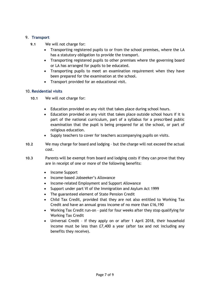# <span id="page-6-0"></span>9. **Transport**

- **9.1** We will not charge for:
	- Transporting registered pupils to or from the school premises, where the LA has a statutory obligation to provide the transport.
	- Transporting registered pupils to other premises where the governing board or LA has arranged for pupils to be educated.
	- Transporting pupils to meet an examination requirement when they have been prepared for the examination at the school.
	- Transport provided for an educational visit.

# <span id="page-6-1"></span>10. **Residential visits**

- **10.1** We will not charge for:
	- Education provided on any visit that takes place during school hours.
	- Education provided on any visit that takes place outside school hours if it is part of the national curriculum, part of a syllabus for a prescribed public examination that the pupil is being prepared for at the school, or part of religious education.
	- Supply teachers to cover for teachers accompanying pupils on visits.
- **10.2** We may charge for board and lodging but the charge will not exceed the actual cost.
- **10.3** Parents will be exempt from board and lodging costs if they can prove that they are in receipt of one or more of the following benefits:
	- Income Support
	- Income-based Jobseeker's Allowance
	- Income-related Employment and Support Allowance
	- Support under part VI of the Immigration and Asylum Act 1999
	- The guaranteed element of State Pension Credit
	- Child Tax Credit, provided that they are not also entitled to Working Tax Credit and have an annual gross income of no more than £16,190
	- Working Tax Credit run-on paid for four weeks after they stop qualifying for Working Tax Credit
	- Universal Credit if they apply on or after 1 April 2018, their household income must be less than £7,400 a year (after tax and not including any benefits they receive).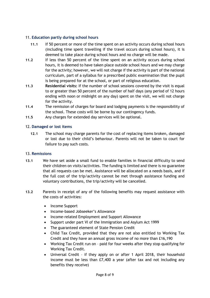# <span id="page-7-0"></span>11. **Education partly during school hours**

- **11.1** If 50 percent or more of the time spent on an activity occurs during school hours (including time spent travelling if the travel occurs during school hours), it is deemed to take place during school hours and no charge will be made.
- **11.2** If less than 50 percent of the time spent on an activity occurs during school hours, it is deemed to have taken place outside school hours and we may charge for the activity; however, we will not charge if the activity is part of the national curriculum, part of a syllabus for a prescribed public examination that the pupil is being prepared for at the school, or part of religious education.
- **11.3 Residential visits:** If the number of school sessions covered by the visit is equal to or greater than 50 percent of the number of half days (any period of 12 hours ending with noon or midnight on any day) spent on the visit, we will not charge for the activity.
- **11.4** The remission of charges for board and lodging payments is the responsibility of the school. These costs will be borne by our contingency funds.
- **11.5** Any charges for extended day services will be optional.

# <span id="page-7-1"></span>12. **Damaged or lost items**

**12.1** The school may charge parents for the cost of replacing items broken, damaged or lost due to their child's behaviour. Parents will not be taken to court for failure to pay such costs.

# <span id="page-7-2"></span>13. **Remissions**

- **13.1** We have set aside a small fund to enable families in financial difficulty to send their children on visits/activities. The funding is limited and there is no guarantee that all requests can be met. Assistance will be allocated on a needs basis, and if the full cost of the trip/activity cannot be met through assistance funding and voluntary contributions, the trip/activity will be cancelled.
- **13.2** Parents in receipt of any of the following benefits may request assistance with the costs of activities:
	- Income Support
	- Income-based Jobseeker's Allowance
	- Income-related Employment and Support Allowance
	- Support under part VI of the Immigration and Asylum Act 1999
	- The guaranteed element of State Pension Credit
	- Child Tax Credit, provided that they are not also entitled to Working Tax Credit and they have an annual gross income of no more than £16,190
	- Working Tax Credit run on paid for four weeks after they stop qualifying for Working Tax Credit.
	- Universal Credit if they apply on or after 1 April 2018, their household income must be less than £7,400 a year (after tax and not including any benefits they receive)